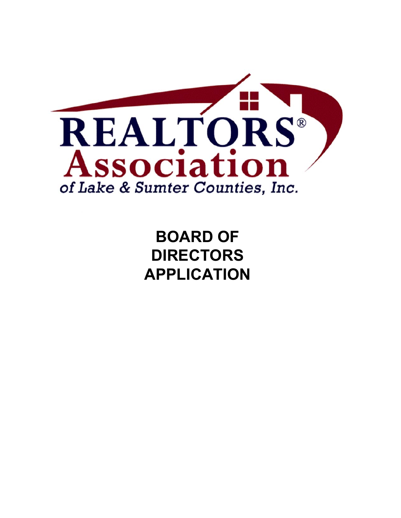

**BOARD OF DIRECTORS APPLICATION**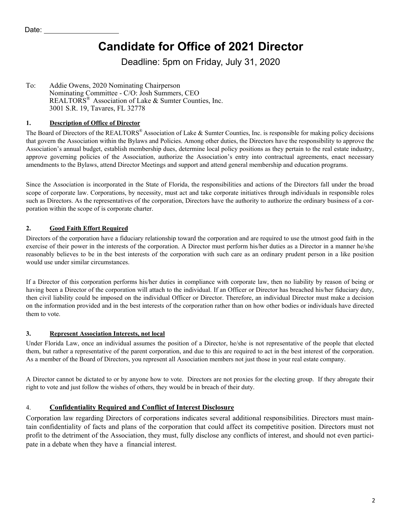# **Candidate for Office of 2021 Director**

Deadline: 5pm on Friday, July 31, 2020

To: Michael "Turk" Taylor, 2020 Nominating Chairperson Nominating Committee - C/O: Josh Summers, CEO (Send completed application to josh@ralsc.org) REALTORS<sup>®</sup> Association of Lake & Sumter Counties, Inc. 3001 S.R. 19, Tavares, FL 32778

#### **1. Description of Office of Director**

The Board of Directors of the REALTORS® Association of Lake & Sumter Counties, Inc. is responsible for making policy decisions that govern the Association within the Bylaws and Policies. Among other duties, the Directors have the responsibility to approve the Association's annual budget, establish membership dues, determine local policy positions as they pertain to the real estate industry, approve governing policies of the Association, authorize the Association's entry into contractual agreements, enact necessary amendments to the Bylaws, attend Director Meetings and support and attend general membership and education programs.

Since the Association is incorporated in the State of Florida, the responsibilities and actions of the Directors fall under the broad scope of corporate law. Corporations, by necessity, must act and take corporate initiatives through individuals in responsible roles such as Directors. As the representatives of the corporation, Directors have the authority to authorize the ordinary business of a corporation within the scope of is corporate charter.

#### **2. Good Faith Effort Required**

Directors of the corporation have a fiduciary relationship toward the corporation and are required to use the utmost good faith in the exercise of their power in the interests of the corporation. A Director must perform his/her duties as a Director in a manner he/she reasonably believes to be in the best interests of the corporation with such care as an ordinary prudent person in a like position would use under similar circumstances.

If a Director of this corporation performs his/her duties in compliance with corporate law, then no liability by reason of being or having been a Director of the corporation will attach to the individual. If an Officer or Director has breached his/her fiduciary duty, then civil liability could be imposed on the individual Officer or Director. Therefore, an individual Director must make a decision on the information provided and in the best interests of the corporation rather than on how other bodies or individuals have directed them to vote.

#### **3. Represent Association Interests, not local**

Under Florida Law, once an individual assumes the position of a Director, he/she is not representative of the people that elected them, but rather a representative of the parent corporation, and due to this are required to act in the best interest of the corporation. As a member of the Board of Directors, you represent all Association members not just those in your real estate company.

A Director cannot be dictated to or by anyone how to vote. Directors are not proxies for the electing group. If they abrogate their right to vote and just follow the wishes of others, they would be in breach of their duty.

#### 4. **Confidentiality Required and Conflict of Interest Disclosure**

Corporation law regarding Directors of corporations indicates several additional responsibilities. Directors must main-tain confidentiality of facts and plans of the corporation that could affect its competitive position. Directors must not profit to the detriment of the Association, they must, fully disclose any conflicts of interest, and should not even partici-pate in a debate when they have a financial interest.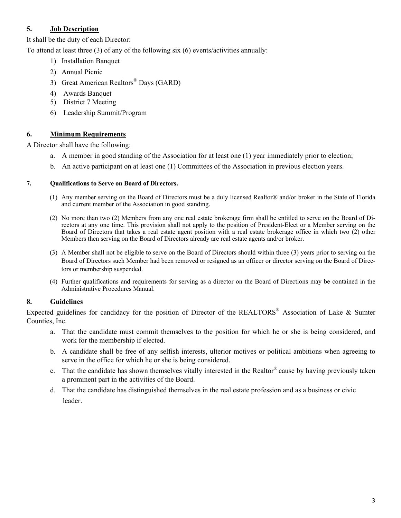#### **Job Description**

It shall be the duty of each Director:

To attend at least three (3) of any of the following six (6) events/activities annually:

- 1) Installation Banquet
- 2) Annual Picnic
- 3) Great American Realtors<sup>®</sup> Days (GARD)
- 4) Awards Banquet
- 5) District 7 Meeting
- 6) Leadership Summit/Program

#### 6. **Minimum Requirements**

A Director shall have the following:

- a. A member in good standing of the Association for at least one (1) year immediately prior to election;
- b. An active participant on at least one (1) Committees of the Association in previous election years.

#### 7. **Qualifications to Serve on Board of Directors.**

- (1) Any member serving on the Board of Directors must be a duly licensed Realtor® and/or broker in the State of Florida and current member of the Association in good standing.
- (2) No more than two (2) Members from any one real estate brokerage firm shall be entitled to serve on the Board of Di-rectors at any one time. This provision shall not apply to the position of President-Elect or a Member serving on the Board of Directors that takes a real estate agent position with a real estate brokerage office in which two (2) other Members then serving on the Board of Directors already are real estate agents and/or broker.
- (3) A Member shall not be eligible to serve on the Board of Directors should within three (3) years prior to serving on the Board of Directors such Member had been removed or resigned as an officer or director serving on the Board of Directors or membership suspended.

#### 8. **Guidelines**

Expected guidelines for candidacy for the position of Director of the REALTORS<sup>®</sup> Association of Lake & Sumter Counties, Inc.

- a. That the candidate must commit themselves to the position for which he or she is being considered, and work for the membership if elected.
- b. A candidate shall be free of any selfish interests, ulterior motives or political ambitions when agreeing to serve in the office for which he or she is being considered.
- c. That the candidate has shown themselves vitally interested in the Realtor® cause by having previously taken a prominent part in the activities of the Board.
- d. That the candidate has distinguished themselves in the real estate profession and as a business or civic leader.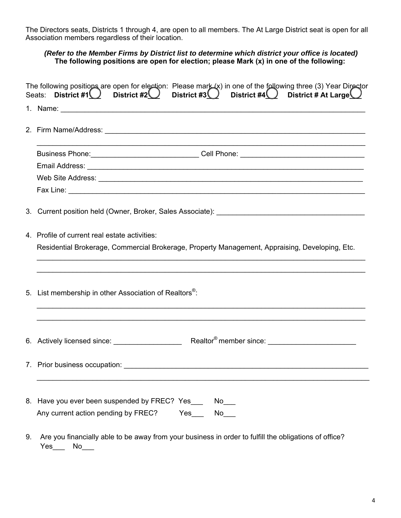The Directors seats, Districts 1 through 4, are open to all members. The At Large District seat is open for all Association members regardless of their location.

#### *(Refer to the Member Firms by District list to determine which district your office is located)*  **The following positions are open for election; please Mark (x) in one of the following:**

| The following positions are open for election: Please mark (x) in one of the following three (3) Year Director<br>Seats: District #1 District #2 District #3 District #4 District # At Large District # At Large |                                                                                                                                                                                                                                |
|------------------------------------------------------------------------------------------------------------------------------------------------------------------------------------------------------------------|--------------------------------------------------------------------------------------------------------------------------------------------------------------------------------------------------------------------------------|
|                                                                                                                                                                                                                  |                                                                                                                                                                                                                                |
|                                                                                                                                                                                                                  |                                                                                                                                                                                                                                |
|                                                                                                                                                                                                                  | Business Phone: _________________________________Cell Phone: ____________________                                                                                                                                              |
|                                                                                                                                                                                                                  |                                                                                                                                                                                                                                |
|                                                                                                                                                                                                                  |                                                                                                                                                                                                                                |
|                                                                                                                                                                                                                  |                                                                                                                                                                                                                                |
|                                                                                                                                                                                                                  |                                                                                                                                                                                                                                |
|                                                                                                                                                                                                                  | 4. Profile of current real estate activities:                                                                                                                                                                                  |
|                                                                                                                                                                                                                  | Residential Brokerage, Commercial Brokerage, Property Management, Appraising, Developing, Etc.                                                                                                                                 |
|                                                                                                                                                                                                                  | ,我们也不会有什么。""我们的人,我们也不会有什么?""我们的人,我们也不会有什么?""我们的人,我们也不会有什么?""我们的人,我们也不会有什么?""我们的人                                                                                                                                               |
|                                                                                                                                                                                                                  | 5. List membership in other Association of Realtors <sup>®</sup> :                                                                                                                                                             |
|                                                                                                                                                                                                                  |                                                                                                                                                                                                                                |
|                                                                                                                                                                                                                  |                                                                                                                                                                                                                                |
|                                                                                                                                                                                                                  | 7. Prior business occupation: University of the Contract of the Contract of the Contract of the Contract of the Contract of the Contract of the Contract of the Contract of the Contract of the Contract of the Contract of th |
| 8.                                                                                                                                                                                                               | Have you ever been suspended by FREC? Yes<br>$No$ $\_\_$<br>Any current action pending by FREC?<br>Yes<br>No l                                                                                                                 |

9. Are you financially able to be away from your business in order to fulfill the obligations of office? Yes\_\_\_ No\_\_\_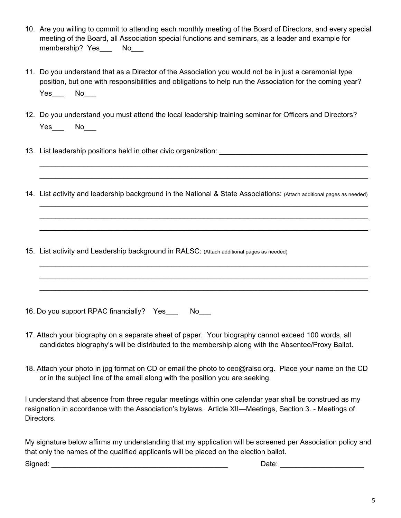- 10. Are you willing to commit to attending each monthly meeting of the Board of Directors, and every special meeting of the Board, all Association special functions and seminars, as a leader and example for membership? Yes No
- 11. Do you understand that as a Director of the Association you would not be in just a ceremonial type position, but one with responsibilities and obligations to help run the Association for the coming year? Yes\_\_\_ No\_\_\_
- 12. Do you understand you must attend the local leadership training seminar for Officers and Directors?  $Yes$  No $\_\_$
- 13. List leadership positions held in other civic organization: \_\_\_\_\_\_\_\_\_\_\_\_\_\_\_\_
- 14. List activity and leadership background in the National & State Associations: (Attach additional pages as needed)

 $\_$  $\_$ 

 $\_$ 

 $\_$ 

- 15. List activity and Leadership background in RALSC: (Attach additional pages as needed)
- 16. Do you support RPAC financially? Yes No
- 17. Attach your biography on a separate sheet of paper. Your biography cannot exceed 100 words, all candidates biography's will be distributed to the membership along with the Absentee/Proxy Ballot.
- 18. Send your photo in JPG-format to josh@ralsc.org.

I understand that absence from three regular meetings within one calendar year shall be construed as my resignation in accordance with the Association's bylaws. Article XII—Meetings, Section 3. - Meetings of Directors.

My signature below affirms my understanding that my application will be screened per Association policy and that only the names of the qualified applicants will be placed on the election ballot. Signed: \_\_\_\_\_\_\_\_\_\_\_\_\_\_\_\_\_\_\_\_\_\_\_\_\_\_\_\_\_\_\_\_\_\_\_\_\_\_\_\_\_\_\_\_ Date: \_\_\_\_\_\_\_\_\_\_\_\_\_\_\_\_\_\_\_\_\_